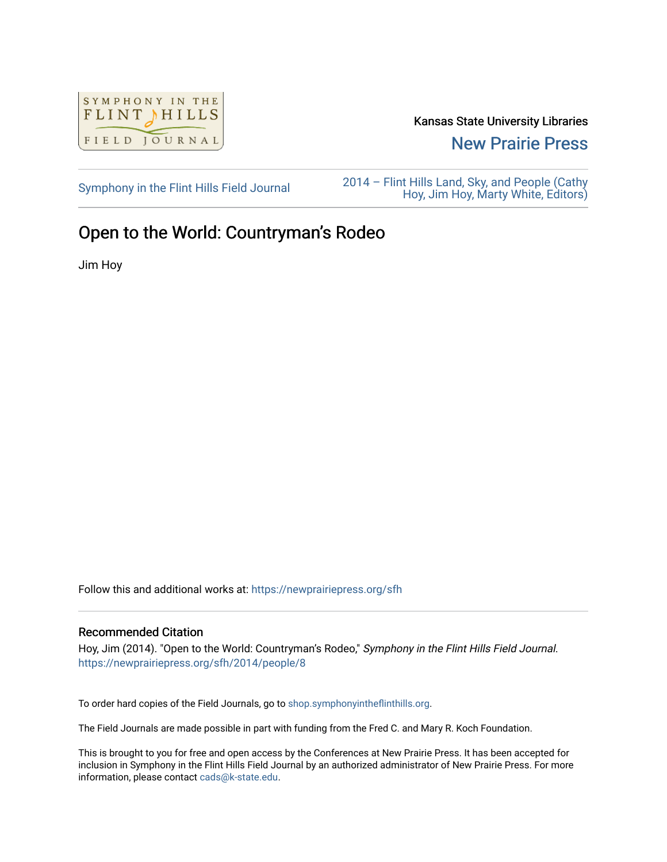

Kansas State University Libraries

[New Prairie Press](https://newprairiepress.org/) 

[Symphony in the Flint Hills Field Journal](https://newprairiepress.org/sfh) 2014 – Flint Hills Land, Sky, and People (Cathy [Hoy, Jim Hoy, Marty White, Editors\)](https://newprairiepress.org/sfh/2014) 

## Open to the World: Countryman's Rodeo

Jim Hoy

Follow this and additional works at: [https://newprairiepress.org/sfh](https://newprairiepress.org/sfh?utm_source=newprairiepress.org%2Fsfh%2F2014%2Fpeople%2F8&utm_medium=PDF&utm_campaign=PDFCoverPages)

## Recommended Citation

Hoy, Jim (2014). "Open to the World: Countryman's Rodeo," Symphony in the Flint Hills Field Journal. <https://newprairiepress.org/sfh/2014/people/8>

To order hard copies of the Field Journals, go to [shop.symphonyintheflinthills.org.](http://shop.symphonyintheflinthills.org/)

The Field Journals are made possible in part with funding from the Fred C. and Mary R. Koch Foundation.

This is brought to you for free and open access by the Conferences at New Prairie Press. It has been accepted for inclusion in Symphony in the Flint Hills Field Journal by an authorized administrator of New Prairie Press. For more information, please contact [cads@k-state.edu](mailto:cads@k-state.edu).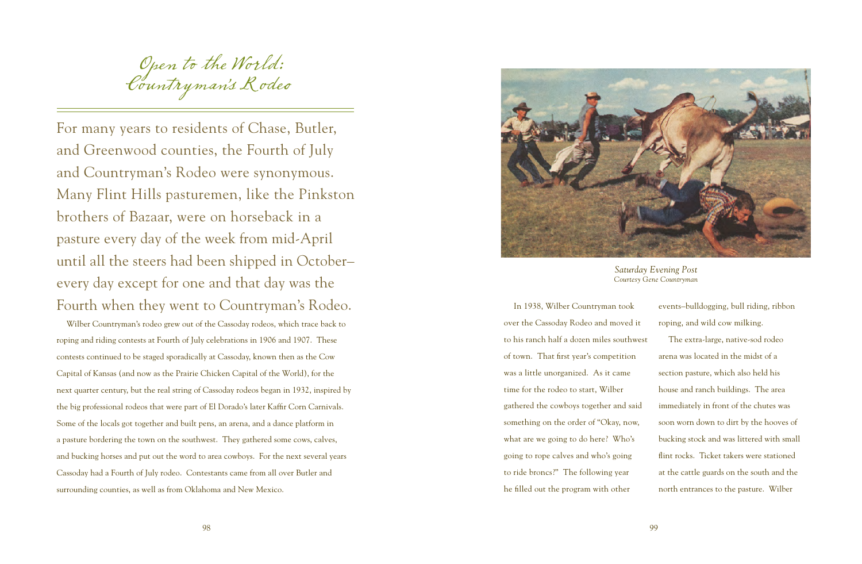Open to the World: Countryman's Rodeo

For many years to residents of Chase, Butler, and Greenwood counties, the Fourth of July and Countryman's Rodeo were synonymous. Many Flint Hills pasturemen, like the Pinkston brothers of Bazaar, were on horseback in a pasture every day of the week from mid-April until all the steers had been shipped in October– every day except for one and that day was the Fourth when they went to Countryman's Rodeo.

Wilber Countryman's rodeo grew out of the Cassoday rodeos, which trace back to roping and riding contests at Fourth of July celebrations in 1906 and 1907. These contests continued to be staged sporadically at Cassoday, known then as the Cow Capital of Kansas (and now as the Prairie Chicken Capital of the World), for the next quarter century, but the real string of Cassoday rodeos began in 1932, inspired by the big professional rodeos that were part of El Dorado's later Kaffir Corn Carnivals. Some of the locals got together and built pens, an arena, and a dance platform in a pasture bordering the town on the southwest. They gathered some cows, calves, and bucking horses and put out the word to area cowboys. For the next several years Cassoday had a Fourth of July rodeo. Contestants came from all over Butler and surrounding counties, as well as from Oklahoma and New Mexico.



*Saturday Evening Post Courtesy Gene Countryman*

In 1938, Wilber Countryman took over the Cassoday Rodeo and moved it to his ranch half a dozen miles southwest of town. That first year's competition was a little unorganized. As it came time for the rodeo to start, Wilber gathered the cowboys together and said something on the order of "Okay, now, what are we going to do here? Who's going to rope calves and who's going to ride broncs?" The following year he filled out the program with other

events–bulldogging, bull riding, ribbon roping, and wild cow milking. The extra-large, native-sod rodeo arena was located in the midst of a section pasture, which also held his house and ranch buildings. The area immediately in front of the chutes was soon worn down to dirt by the hooves of bucking stock and was littered with small flint rocks. Ticket takers were stationed at the cattle guards on the south and the north entrances to the pasture. Wilber